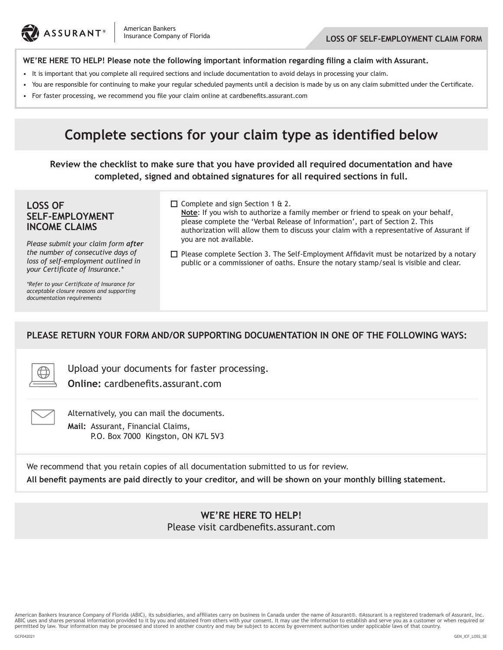

### **WE'RE HERE TO HELP! Please note the following important information regarding filing a claim with Assurant.**

- It is important that you complete all required sections and include documentation to avoid delays in processing your claim.
- You are responsible for continuing to make your regular scheduled payments until a decision is made by us on any claim submitted under the Certificate.
- • For faster processing, we recommend you file your claim online at cardbenefits.assurant.com

# **Complete sections for your claim type as identified below**

**Review the checklist to make sure that you have provided all required documentation and have completed, signed and obtained signatures for all required sections in full.**

## **LOSS OF SELF-EMPLOYMENT INCOME CLAIMS**

*Please submit your claim form after the number of consecutive days of loss of self-employment outlined in your Certificate of Insurance.\**

 $\Box$  Complete and sign Section 1 & 2.

**Note**: If you wish to authorize a family member or friend to speak on your behalf, please complete the 'Verbal Release of Information', part of Section 2. This authorization will allow them to discuss your claim with a representative of Assurant if you are not available.

 $\square$  Please complete Section 3. The Self-Employment Affidavit must be notarized by a notary public or a commissioner of oaths. Ensure the notary stamp/seal is visible and clear.

*\*Refer to your Certificate of Insurance for acceptable closure reasons and supporting documentation requirements*

### **PLEASE RETURN YOUR FORM AND/OR SUPPORTING DOCUMENTATION IN ONE OF THE FOLLOWING WAYS:**

Upload your documents for faster processing.

**Online:** cardbenefits.assurant.com

Alternatively, you can mail the documents. **Mail:** Assurant, Financial Claims, P.O. Box 7000 Kingston, ON K7L 5V3

We recommend that you retain copies of all documentation submitted to us for review. **All benefit payments are paid directly to your creditor, and will be shown on your monthly billing statement.**

> **WE'RE HERE TO HELP!** Please visit cardbenefits.assurant.com

American Bankers Insurance Company of Florida (ABIC), its subsidiaries, and affiliates carry on business in Canada under the name of Assurant®. ®Assurant is a registered trademark of Assurant, Inc. ABIC uses and shares personal information provided to it by you and obtained from others with your consent. It may use the information to establish and serve you as a customer or when required or permitted by law. Your information may be processed and stored in another country and may be subject to access by government authorities under applicable laws of that country.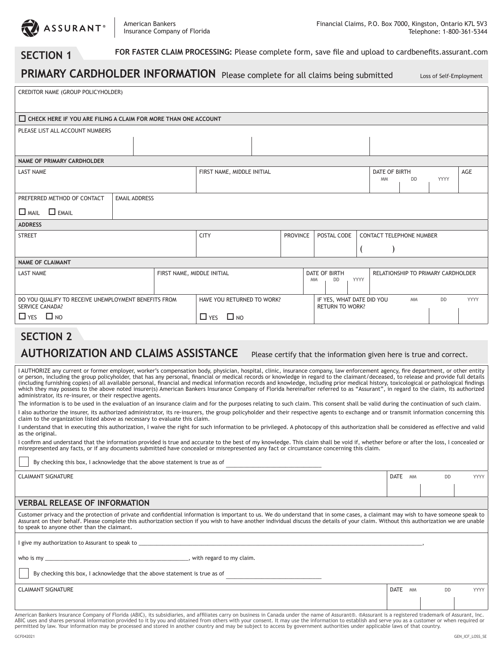

#### **SECTION 1 FOR FASTER CLAIM PROCESSING:** Please complete form, save file and upload to cardbenefits.assurant.com

| PRIMARY CARDHOLDER INFORMATION Please complete for all claims being submitted                                     |                            |                                                     |  |                                  |             | Loss of Self-Employment            |  |  |  |  |
|-------------------------------------------------------------------------------------------------------------------|----------------------------|-----------------------------------------------------|--|----------------------------------|-------------|------------------------------------|--|--|--|--|
| CREDITOR NAME (GROUP POLICYHOLDER)                                                                                |                            |                                                     |  |                                  |             |                                    |  |  |  |  |
| $\Box$ CHECK HERE IF YOU ARE FILING A CLAIM FOR MORE THAN ONE ACCOUNT                                             |                            |                                                     |  |                                  |             |                                    |  |  |  |  |
| PLEASE LIST ALL ACCOUNT NUMBERS                                                                                   |                            |                                                     |  |                                  |             |                                    |  |  |  |  |
| <b>NAME OF PRIMARY CARDHOLDER</b>                                                                                 |                            |                                                     |  |                                  |             |                                    |  |  |  |  |
| <b>LAST NAME</b>                                                                                                  |                            |                                                     |  | FIRST NAME, MIDDLE INITIAL       |             |                                    |  |  |  |  |
| PREFERRED METHOD OF CONTACT<br><b>EMAIL ADDRESS</b>                                                               |                            |                                                     |  |                                  |             |                                    |  |  |  |  |
| $\Box$ EMAIL<br>$\Box$ Mail                                                                                       |                            |                                                     |  |                                  |             |                                    |  |  |  |  |
| <b>ADDRESS</b>                                                                                                    |                            |                                                     |  |                                  |             |                                    |  |  |  |  |
| <b>STREET</b>                                                                                                     |                            | <b>CITY</b><br><b>PROVINCE</b>                      |  | POSTAL CODE                      |             | <b>CONTACT TELEPHONE NUMBER</b>    |  |  |  |  |
|                                                                                                                   |                            |                                                     |  |                                  |             |                                    |  |  |  |  |
| <b>NAME OF CLAIMANT</b>                                                                                           |                            |                                                     |  |                                  |             |                                    |  |  |  |  |
| <b>LAST NAME</b>                                                                                                  | FIRST NAME, MIDDLE INITIAL |                                                     |  | DATE OF BIRTH<br>DD<br><b>MM</b> | YYYY        | RELATIONSHIP TO PRIMARY CARDHOLDER |  |  |  |  |
| DO YOU QUALIFY TO RECEIVE UNEMPLOYMENT BENEFITS FROM<br><b>SERVICE CANADA?</b>                                    | HAVE YOU RETURNED TO WORK? | IF YES, WHAT DATE DID YOU<br><b>RETURN TO WORK?</b> |  | <b>MM</b><br><b>DD</b>           | <b>YYYY</b> |                                    |  |  |  |  |
| $\Box$ YES $\Box$ NO                                                                                              | $\Box$ NO<br>$\Box$ YES    |                                                     |  |                                  |             |                                    |  |  |  |  |
| <b>SECTION 2</b>                                                                                                  |                            |                                                     |  |                                  |             |                                    |  |  |  |  |
| <b>AUTHORIZATION AND CLAIMS ASSISTANCE</b><br>Please certify that the information given here is true and correct. |                            |                                                     |  |                                  |             |                                    |  |  |  |  |

I AUTHORIZE any current or former employer, worker's compensation body, physician, hospital, clinic, insurance company, law enforcement agency, fire department, or other entity or person, including the group policyholder, that has any personal, financial or medical records or knowledge in regard to the claimant/deceased, to release and provide full details (including furnishing copies) of all available personal, financial and medical information records and knowledge, including prior medical history, toxicological or pathological findings which they may possess to the above noted insurer(s) American Bankers Insurance Company of Florida hereinafter referred to as "Assurant", in regard to the claim, its authorized administrator, its re-insurer, or their respective agents.

The information is to be used in the evaluation of an insurance claim and for the purposes relating to such claim. This consent shall be valid during the continuation of such claim. I also authorize the insurer, its authorized administrator, its re-insurers, the group policyholder and their respective agents to exchange and or transmit information concerning this claim to the organization listed above as necessary to evaluate this claim.

I understand that in executing this authorization, I waive the right for such information to be privileged. A photocopy of this authorization shall be considered as effective and valid as the original.

I confirm and understand that the information provided is true and accurate to the best of my knowledge. This claim shall be void if, whether before or after the loss, I concealed or misrepresented any facts, or if any documents submitted have concealed or misrepresented any fact or circumstance concerning this claim.

By checking this box, I acknowledge that the above statement is true as of

CLAIMANT SIGNATURE DATE MM DD YYYY

# **VERBAL RELEASE OF INFORMATION**

Customer privacy and the protection of private and confidential information is important to us. We do understand that in some cases, a claimant may wish to have someone speak to Assurant on their behalf. Please complete this authorization section if you wish to have another individual discuss the details of your claim. Without this authorization we are unable to speak to anyone other than the claimant.

I give my authorization to Assurant to speak to \_

who is my \_\_\_\_\_\_\_\_\_\_\_\_\_\_\_\_\_\_\_\_\_\_\_\_\_\_\_\_\_\_\_\_\_\_\_\_\_\_\_\_\_\_\_\_\_\_\_\_, with regard to my claim.

By checking this box, I acknowledge that the above statement is true as of

**CLAIMANT SIGNATURE DATE** MM DD YYYY

American Bankers Insurance Company of Florida (ABIC), its subsidiaries, and affiliates carry on business in Canada under the name of Assurant®. ®Assurant is a registered trademark of Assurant, Inc. ABIC uses and shares personal information provided to it by you and obtained from others with your consent. It may use the information to establish and serve you as a customer or when required or permitted by law. Your information may be processed and stored in another country and may be subject to access by government authorities under applicable laws of that country.